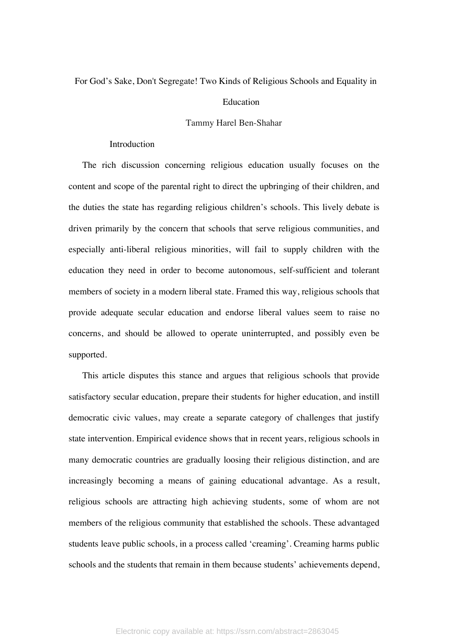## For God's Sake, Don't Segregate! Two Kinds of Religious Schools and Equality in

## Education

## Tammy Harel Ben-Shahar

### Introduction

The rich discussion concerning religious education usually focuses on the content and scope of the parental right to direct the upbringing of their children, and the duties the state has regarding religious children's schools. This lively debate is driven primarily by the concern that schools that serve religious communities, and especially anti-liberal religious minorities, will fail to supply children with the education they need in order to become autonomous, self-sufficient and tolerant members of society in a modern liberal state. Framed this way, religious schools that provide adequate secular education and endorse liberal values seem to raise no concerns, and should be allowed to operate uninterrupted, and possibly even be supported.

This article disputes this stance and argues that religious schools that provide satisfactory secular education, prepare their students for higher education, and instill democratic civic values, may create a separate category of challenges that justify state intervention. Empirical evidence shows that in recent years, religious schools in many democratic countries are gradually loosing their religious distinction, and are increasingly becoming a means of gaining educational advantage. As a result, religious schools are attracting high achieving students, some of whom are not members of the religious community that established the schools. These advantaged students leave public schools, in a process called 'creaming'. Creaming harms public schools and the students that remain in them because students' achievements depend,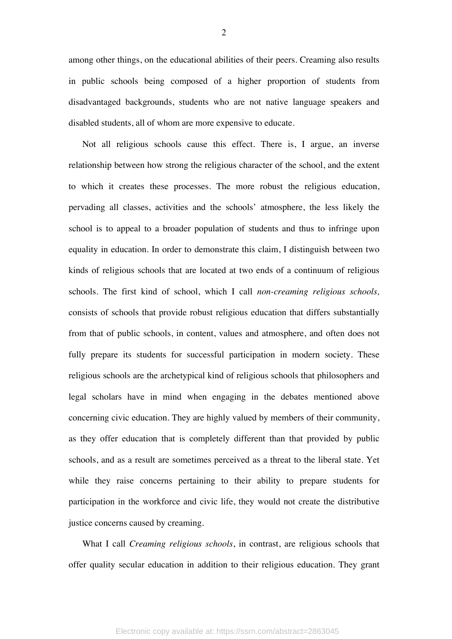among other things, on the educational abilities of their peers. Creaming also results in public schools being composed of a higher proportion of students from disadvantaged backgrounds, students who are not native language speakers and disabled students, all of whom are more expensive to educate.

Not all religious schools cause this effect. There is, I argue, an inverse relationship between how strong the religious character of the school, and the extent to which it creates these processes. The more robust the religious education, pervading all classes, activities and the schools' atmosphere, the less likely the school is to appeal to a broader population of students and thus to infringe upon equality in education. In order to demonstrate this claim, I distinguish between two kinds of religious schools that are located at two ends of a continuum of religious schools. The first kind of school, which I call *non-creaming religious schools,* consists of schools that provide robust religious education that differs substantially from that of public schools, in content, values and atmosphere, and often does not fully prepare its students for successful participation in modern society. These religious schools are the archetypical kind of religious schools that philosophers and legal scholars have in mind when engaging in the debates mentioned above concerning civic education. They are highly valued by members of their community, as they offer education that is completely different than that provided by public schools, and as a result are sometimes perceived as a threat to the liberal state. Yet while they raise concerns pertaining to their ability to prepare students for participation in the workforce and civic life, they would not create the distributive justice concerns caused by creaming.

What I call *Creaming religious schools*, in contrast, are religious schools that offer quality secular education in addition to their religious education. They grant

2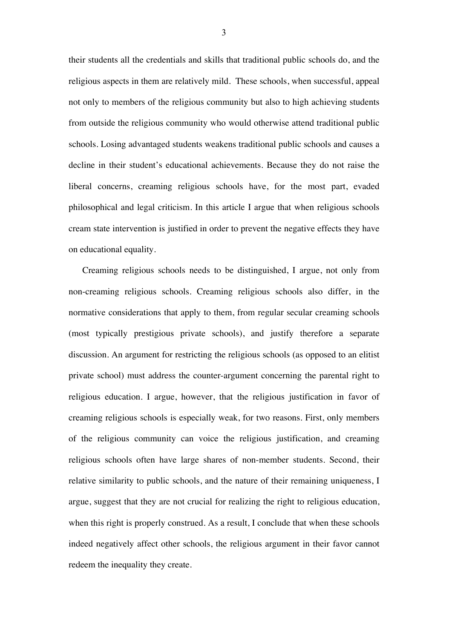their students all the credentials and skills that traditional public schools do, and the religious aspects in them are relatively mild. These schools, when successful, appeal not only to members of the religious community but also to high achieving students from outside the religious community who would otherwise attend traditional public schools. Losing advantaged students weakens traditional public schools and causes a decline in their student's educational achievements. Because they do not raise the liberal concerns, creaming religious schools have, for the most part, evaded philosophical and legal criticism. In this article I argue that when religious schools cream state intervention is justified in order to prevent the negative effects they have on educational equality.

Creaming religious schools needs to be distinguished, I argue, not only from non-creaming religious schools. Creaming religious schools also differ, in the normative considerations that apply to them, from regular secular creaming schools (most typically prestigious private schools), and justify therefore a separate discussion. An argument for restricting the religious schools (as opposed to an elitist private school) must address the counter-argument concerning the parental right to religious education. I argue, however, that the religious justification in favor of creaming religious schools is especially weak, for two reasons. First, only members of the religious community can voice the religious justification, and creaming religious schools often have large shares of non-member students. Second, their relative similarity to public schools, and the nature of their remaining uniqueness, I argue, suggest that they are not crucial for realizing the right to religious education, when this right is properly construed. As a result, I conclude that when these schools indeed negatively affect other schools, the religious argument in their favor cannot redeem the inequality they create.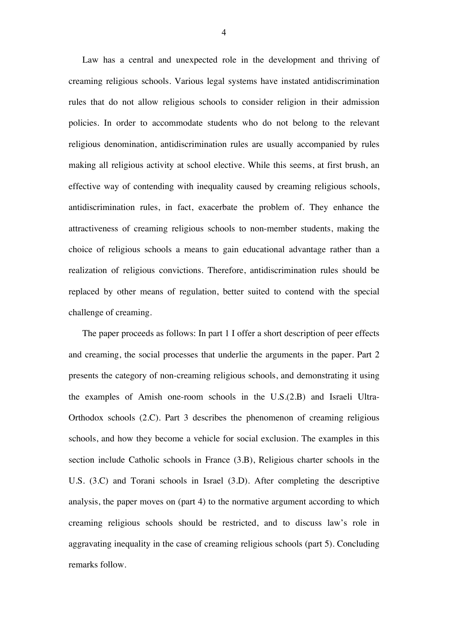Law has a central and unexpected role in the development and thriving of creaming religious schools. Various legal systems have instated antidiscrimination rules that do not allow religious schools to consider religion in their admission policies. In order to accommodate students who do not belong to the relevant religious denomination, antidiscrimination rules are usually accompanied by rules making all religious activity at school elective. While this seems, at first brush, an effective way of contending with inequality caused by creaming religious schools, antidiscrimination rules, in fact, exacerbate the problem of. They enhance the attractiveness of creaming religious schools to non-member students, making the choice of religious schools a means to gain educational advantage rather than a realization of religious convictions. Therefore, antidiscrimination rules should be replaced by other means of regulation, better suited to contend with the special challenge of creaming.

The paper proceeds as follows: In part 1 I offer a short description of peer effects and creaming, the social processes that underlie the arguments in the paper. Part 2 presents the category of non-creaming religious schools, and demonstrating it using the examples of Amish one-room schools in the U.S.(2.B) and Israeli Ultra-Orthodox schools (2.C). Part 3 describes the phenomenon of creaming religious schools, and how they become a vehicle for social exclusion. The examples in this section include Catholic schools in France (3.B), Religious charter schools in the U.S. (3.C) and Torani schools in Israel (3.D). After completing the descriptive analysis, the paper moves on (part 4) to the normative argument according to which creaming religious schools should be restricted, and to discuss law's role in aggravating inequality in the case of creaming religious schools (part 5). Concluding remarks follow.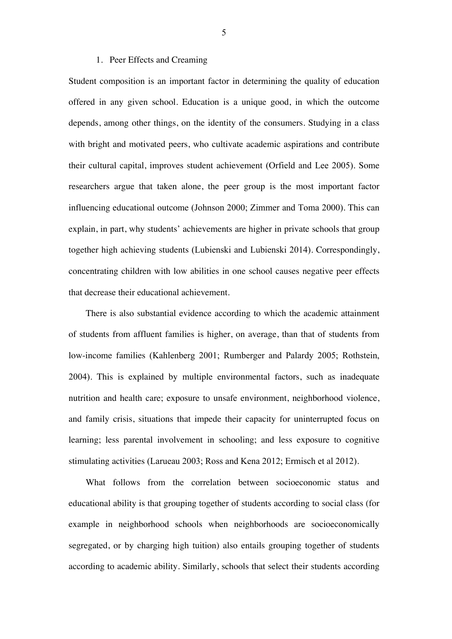#### 1. Peer Effects and Creaming

Student composition is an important factor in determining the quality of education offered in any given school. Education is a unique good, in which the outcome depends, among other things, on the identity of the consumers. Studying in a class with bright and motivated peers, who cultivate academic aspirations and contribute their cultural capital, improves student achievement (Orfield and Lee 2005). Some researchers argue that taken alone, the peer group is the most important factor influencing educational outcome (Johnson 2000; Zimmer and Toma 2000). This can explain, in part, why students' achievements are higher in private schools that group together high achieving students (Lubienski and Lubienski 2014). Correspondingly, concentrating children with low abilities in one school causes negative peer effects that decrease their educational achievement.

There is also substantial evidence according to which the academic attainment of students from affluent families is higher, on average, than that of students from low-income families (Kahlenberg 2001; Rumberger and Palardy 2005; Rothstein, 2004). This is explained by multiple environmental factors, such as inadequate nutrition and health care; exposure to unsafe environment, neighborhood violence, and family crisis, situations that impede their capacity for uninterrupted focus on learning; less parental involvement in schooling; and less exposure to cognitive stimulating activities (Larueau 2003; Ross and Kena 2012; Ermisch et al 2012).

What follows from the correlation between socioeconomic status and educational ability is that grouping together of students according to social class (for example in neighborhood schools when neighborhoods are socioeconomically segregated, or by charging high tuition) also entails grouping together of students according to academic ability. Similarly, schools that select their students according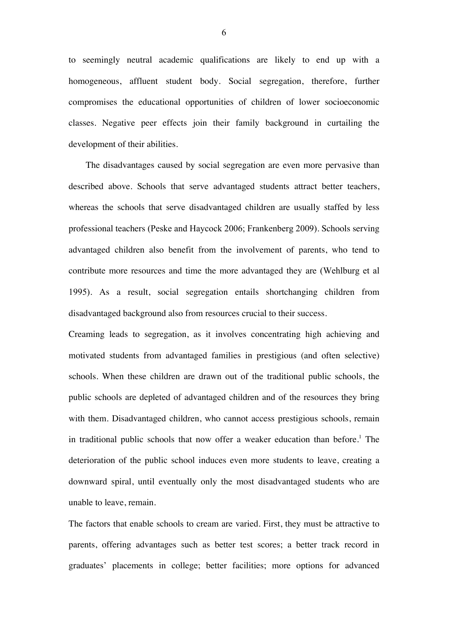to seemingly neutral academic qualifications are likely to end up with a homogeneous, affluent student body. Social segregation, therefore, further compromises the educational opportunities of children of lower socioeconomic classes. Negative peer effects join their family background in curtailing the development of their abilities.

The disadvantages caused by social segregation are even more pervasive than described above. Schools that serve advantaged students attract better teachers, whereas the schools that serve disadvantaged children are usually staffed by less professional teachers (Peske and Haycock 2006; Frankenberg 2009). Schools serving advantaged children also benefit from the involvement of parents, who tend to contribute more resources and time the more advantaged they are (Wehlburg et al 1995). As a result, social segregation entails shortchanging children from disadvantaged background also from resources crucial to their success.

Creaming leads to segregation, as it involves concentrating high achieving and motivated students from advantaged families in prestigious (and often selective) schools. When these children are drawn out of the traditional public schools, the public schools are depleted of advantaged children and of the resources they bring with them. Disadvantaged children, who cannot access prestigious schools, remain in traditional public schools that now offer a weaker education than before.<sup>1</sup> The deterioration of the public school induces even more students to leave, creating a downward spiral, until eventually only the most disadvantaged students who are unable to leave, remain.

The factors that enable schools to cream are varied. First, they must be attractive to parents, offering advantages such as better test scores; a better track record in graduates' placements in college; better facilities; more options for advanced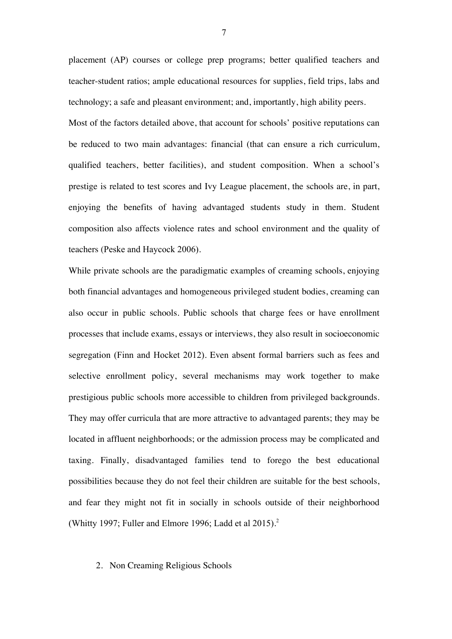placement (AP) courses or college prep programs; better qualified teachers and teacher-student ratios; ample educational resources for supplies, field trips, labs and technology; a safe and pleasant environment; and, importantly, high ability peers. Most of the factors detailed above, that account for schools' positive reputations can be reduced to two main advantages: financial (that can ensure a rich curriculum, qualified teachers, better facilities), and student composition. When a school's prestige is related to test scores and Ivy League placement, the schools are, in part, enjoying the benefits of having advantaged students study in them. Student composition also affects violence rates and school environment and the quality of teachers (Peske and Haycock 2006).

While private schools are the paradigmatic examples of creaming schools, enjoying both financial advantages and homogeneous privileged student bodies, creaming can also occur in public schools. Public schools that charge fees or have enrollment processes that include exams, essays or interviews, they also result in socioeconomic segregation (Finn and Hocket 2012). Even absent formal barriers such as fees and selective enrollment policy, several mechanisms may work together to make prestigious public schools more accessible to children from privileged backgrounds. They may offer curricula that are more attractive to advantaged parents; they may be located in affluent neighborhoods; or the admission process may be complicated and taxing. Finally, disadvantaged families tend to forego the best educational possibilities because they do not feel their children are suitable for the best schools, and fear they might not fit in socially in schools outside of their neighborhood (Whitty 1997; Fuller and Elmore 1996; Ladd et al 2015). 2

## 2. Non Creaming Religious Schools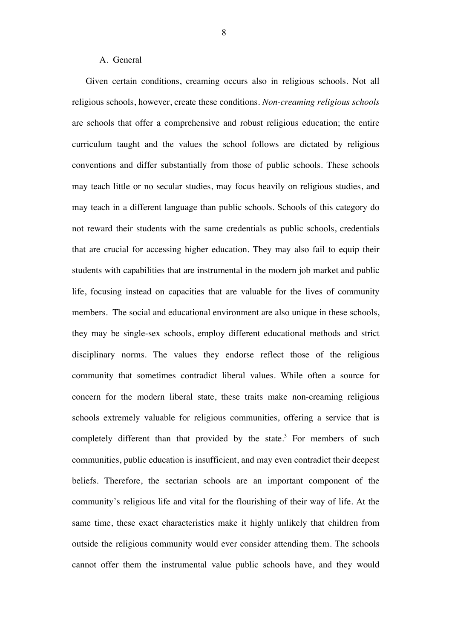# A. General

Given certain conditions, creaming occurs also in religious schools. Not all religious schools, however, create these conditions. *Non-creaming religious schools* are schools that offer a comprehensive and robust religious education; the entire curriculum taught and the values the school follows are dictated by religious conventions and differ substantially from those of public schools. These schools may teach little or no secular studies, may focus heavily on religious studies, and may teach in a different language than public schools. Schools of this category do not reward their students with the same credentials as public schools, credentials that are crucial for accessing higher education. They may also fail to equip their students with capabilities that are instrumental in the modern job market and public life, focusing instead on capacities that are valuable for the lives of community members. The social and educational environment are also unique in these schools, they may be single-sex schools, employ different educational methods and strict disciplinary norms. The values they endorse reflect those of the religious community that sometimes contradict liberal values. While often a source for concern for the modern liberal state, these traits make non-creaming religious schools extremely valuable for religious communities, offering a service that is completely different than that provided by the state.<sup>3</sup> For members of such communities, public education is insufficient, and may even contradict their deepest beliefs. Therefore, the sectarian schools are an important component of the community's religious life and vital for the flourishing of their way of life. At the same time, these exact characteristics make it highly unlikely that children from outside the religious community would ever consider attending them. The schools cannot offer them the instrumental value public schools have, and they would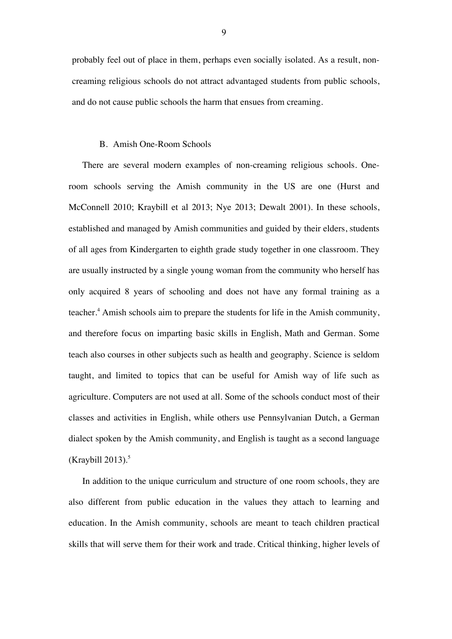probably feel out of place in them, perhaps even socially isolated. As a result, noncreaming religious schools do not attract advantaged students from public schools, and do not cause public schools the harm that ensues from creaming.

#### B. Amish One-Room Schools

There are several modern examples of non-creaming religious schools. Oneroom schools serving the Amish community in the US are one (Hurst and McConnell 2010; Kraybill et al 2013; Nye 2013; Dewalt 2001). In these schools, established and managed by Amish communities and guided by their elders, students of all ages from Kindergarten to eighth grade study together in one classroom. They are usually instructed by a single young woman from the community who herself has only acquired 8 years of schooling and does not have any formal training as a teacher.<sup>4</sup> Amish schools aim to prepare the students for life in the Amish community, and therefore focus on imparting basic skills in English, Math and German. Some teach also courses in other subjects such as health and geography. Science is seldom taught, and limited to topics that can be useful for Amish way of life such as agriculture. Computers are not used at all. Some of the schools conduct most of their classes and activities in English, while others use Pennsylvanian Dutch, a German dialect spoken by the Amish community, and English is taught as a second language (Kraybill 2013). $5$ 

In addition to the unique curriculum and structure of one room schools, they are also different from public education in the values they attach to learning and education. In the Amish community, schools are meant to teach children practical skills that will serve them for their work and trade. Critical thinking, higher levels of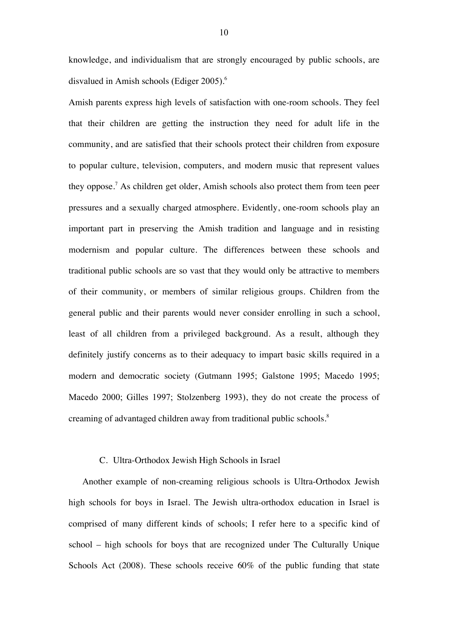knowledge, and individualism that are strongly encouraged by public schools, are disvalued in Amish schools (Ediger 2005). 6

Amish parents express high levels of satisfaction with one-room schools. They feel that their children are getting the instruction they need for adult life in the community, and are satisfied that their schools protect their children from exposure to popular culture, television, computers, and modern music that represent values they oppose.<sup>7</sup> As children get older, Amish schools also protect them from teen peer pressures and a sexually charged atmosphere. Evidently, one-room schools play an important part in preserving the Amish tradition and language and in resisting modernism and popular culture. The differences between these schools and traditional public schools are so vast that they would only be attractive to members of their community, or members of similar religious groups. Children from the general public and their parents would never consider enrolling in such a school, least of all children from a privileged background. As a result, although they definitely justify concerns as to their adequacy to impart basic skills required in a modern and democratic society (Gutmann 1995; Galstone 1995; Macedo 1995; Macedo 2000; Gilles 1997; Stolzenberg 1993), they do not create the process of creaming of advantaged children away from traditional public schools.<sup>8</sup>

## C. Ultra-Orthodox Jewish High Schools in Israel

Another example of non-creaming religious schools is Ultra-Orthodox Jewish high schools for boys in Israel. The Jewish ultra-orthodox education in Israel is comprised of many different kinds of schools; I refer here to a specific kind of school – high schools for boys that are recognized under The Culturally Unique Schools Act (2008). These schools receive 60% of the public funding that state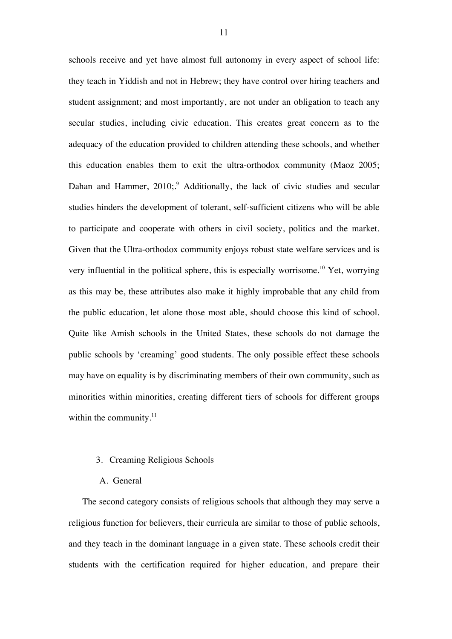schools receive and yet have almost full autonomy in every aspect of school life: they teach in Yiddish and not in Hebrew; they have control over hiring teachers and student assignment; and most importantly, are not under an obligation to teach any secular studies, including civic education. This creates great concern as to the adequacy of the education provided to children attending these schools, and whether this education enables them to exit the ultra-orthodox community (Maoz 2005; Dahan and Hammer, 2010;<sup>9</sup> Additionally, the lack of civic studies and secular studies hinders the development of tolerant, self-sufficient citizens who will be able to participate and cooperate with others in civil society, politics and the market. Given that the Ultra-orthodox community enjoys robust state welfare services and is very influential in the political sphere, this is especially worrisome.<sup>10</sup> Yet, worrying as this may be, these attributes also make it highly improbable that any child from the public education, let alone those most able, should choose this kind of school. Quite like Amish schools in the United States, these schools do not damage the public schools by 'creaming' good students. The only possible effect these schools may have on equality is by discriminating members of their own community, such as minorities within minorities, creating different tiers of schools for different groups within the community. $11$ 

#### 3. Creaming Religious Schools

## A. General

The second category consists of religious schools that although they may serve a religious function for believers, their curricula are similar to those of public schools, and they teach in the dominant language in a given state. These schools credit their students with the certification required for higher education, and prepare their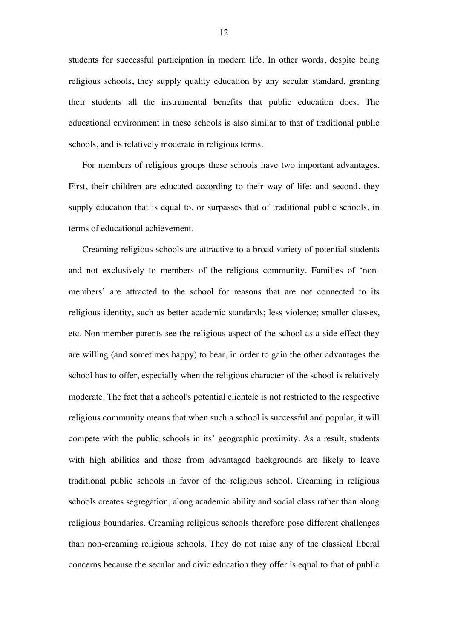students for successful participation in modern life. In other words, despite being religious schools, they supply quality education by any secular standard, granting their students all the instrumental benefits that public education does. The educational environment in these schools is also similar to that of traditional public schools, and is relatively moderate in religious terms.

For members of religious groups these schools have two important advantages. First, their children are educated according to their way of life; and second, they supply education that is equal to, or surpasses that of traditional public schools, in terms of educational achievement.

Creaming religious schools are attractive to a broad variety of potential students and not exclusively to members of the religious community. Families of 'nonmembers' are attracted to the school for reasons that are not connected to its religious identity, such as better academic standards; less violence; smaller classes, etc. Non-member parents see the religious aspect of the school as a side effect they are willing (and sometimes happy) to bear, in order to gain the other advantages the school has to offer, especially when the religious character of the school is relatively moderate. The fact that a school's potential clientele is not restricted to the respective religious community means that when such a school is successful and popular, it will compete with the public schools in its' geographic proximity. As a result, students with high abilities and those from advantaged backgrounds are likely to leave traditional public schools in favor of the religious school. Creaming in religious schools creates segregation, along academic ability and social class rather than along religious boundaries. Creaming religious schools therefore pose different challenges than non-creaming religious schools. They do not raise any of the classical liberal concerns because the secular and civic education they offer is equal to that of public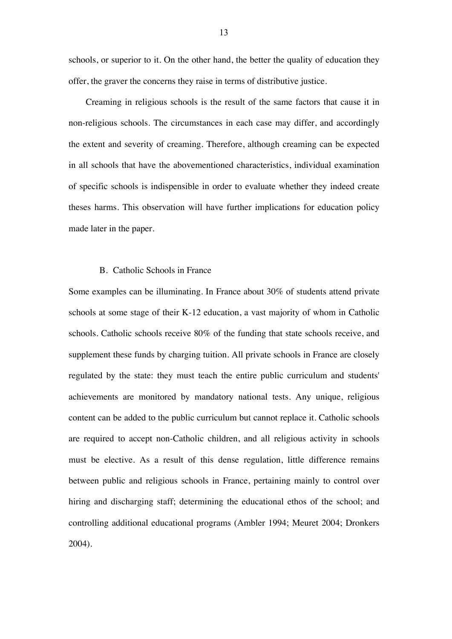schools, or superior to it. On the other hand, the better the quality of education they offer, the graver the concerns they raise in terms of distributive justice.

Creaming in religious schools is the result of the same factors that cause it in non-religious schools. The circumstances in each case may differ, and accordingly the extent and severity of creaming. Therefore, although creaming can be expected in all schools that have the abovementioned characteristics, individual examination of specific schools is indispensible in order to evaluate whether they indeed create theses harms. This observation will have further implications for education policy made later in the paper.

## B. Catholic Schools in France

Some examples can be illuminating. In France about 30% of students attend private schools at some stage of their K-12 education, a vast majority of whom in Catholic schools. Catholic schools receive 80% of the funding that state schools receive, and supplement these funds by charging tuition. All private schools in France are closely regulated by the state: they must teach the entire public curriculum and students' achievements are monitored by mandatory national tests. Any unique, religious content can be added to the public curriculum but cannot replace it. Catholic schools are required to accept non-Catholic children, and all religious activity in schools must be elective. As a result of this dense regulation, little difference remains between public and religious schools in France, pertaining mainly to control over hiring and discharging staff; determining the educational ethos of the school; and controlling additional educational programs (Ambler 1994; Meuret 2004; Dronkers 2004).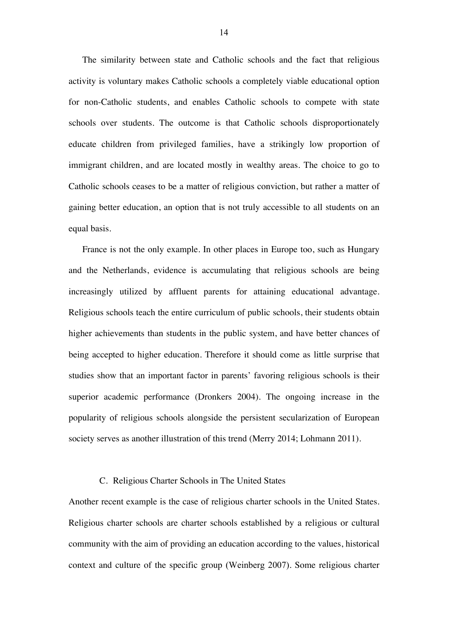The similarity between state and Catholic schools and the fact that religious activity is voluntary makes Catholic schools a completely viable educational option for non-Catholic students, and enables Catholic schools to compete with state schools over students. The outcome is that Catholic schools disproportionately educate children from privileged families, have a strikingly low proportion of immigrant children, and are located mostly in wealthy areas. The choice to go to Catholic schools ceases to be a matter of religious conviction, but rather a matter of gaining better education, an option that is not truly accessible to all students on an equal basis.

France is not the only example. In other places in Europe too, such as Hungary and the Netherlands, evidence is accumulating that religious schools are being increasingly utilized by affluent parents for attaining educational advantage. Religious schools teach the entire curriculum of public schools, their students obtain higher achievements than students in the public system, and have better chances of being accepted to higher education. Therefore it should come as little surprise that studies show that an important factor in parents' favoring religious schools is their superior academic performance (Dronkers 2004). The ongoing increase in the popularity of religious schools alongside the persistent secularization of European society serves as another illustration of this trend (Merry 2014; Lohmann 2011).

#### C. Religious Charter Schools in The United States

Another recent example is the case of religious charter schools in the United States. Religious charter schools are charter schools established by a religious or cultural community with the aim of providing an education according to the values, historical context and culture of the specific group (Weinberg 2007). Some religious charter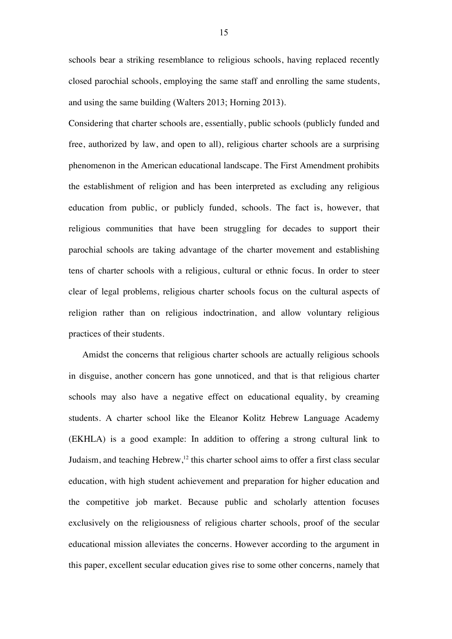schools bear a striking resemblance to religious schools, having replaced recently closed parochial schools, employing the same staff and enrolling the same students, and using the same building (Walters 2013; Horning 2013).

Considering that charter schools are, essentially, public schools (publicly funded and free, authorized by law, and open to all), religious charter schools are a surprising phenomenon in the American educational landscape. The First Amendment prohibits the establishment of religion and has been interpreted as excluding any religious education from public, or publicly funded, schools. The fact is, however, that religious communities that have been struggling for decades to support their parochial schools are taking advantage of the charter movement and establishing tens of charter schools with a religious, cultural or ethnic focus. In order to steer clear of legal problems, religious charter schools focus on the cultural aspects of religion rather than on religious indoctrination, and allow voluntary religious practices of their students.

Amidst the concerns that religious charter schools are actually religious schools in disguise, another concern has gone unnoticed, and that is that religious charter schools may also have a negative effect on educational equality, by creaming students. A charter school like the Eleanor Kolitz Hebrew Language Academy (EKHLA) is a good example: In addition to offering a strong cultural link to Judaism, and teaching Hebrew, $^{12}$  this charter school aims to offer a first class secular education, with high student achievement and preparation for higher education and the competitive job market. Because public and scholarly attention focuses exclusively on the religiousness of religious charter schools, proof of the secular educational mission alleviates the concerns. However according to the argument in this paper, excellent secular education gives rise to some other concerns, namely that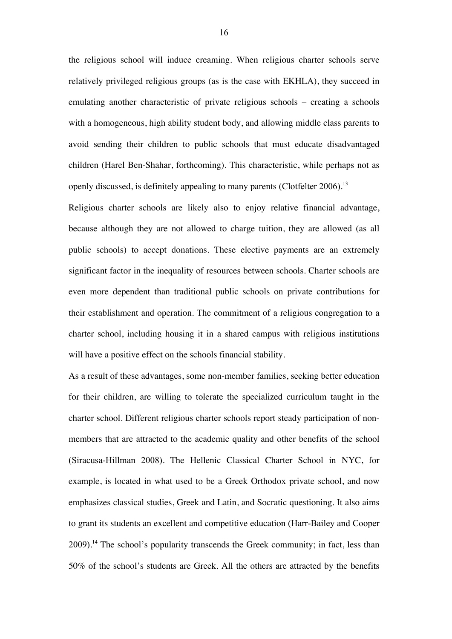the religious school will induce creaming. When religious charter schools serve relatively privileged religious groups (as is the case with EKHLA), they succeed in emulating another characteristic of private religious schools – creating a schools with a homogeneous, high ability student body, and allowing middle class parents to avoid sending their children to public schools that must educate disadvantaged children (Harel Ben-Shahar, forthcoming). This characteristic, while perhaps not as openly discussed, is definitely appealing to many parents (Clotfelter 2006).<sup>13</sup>

Religious charter schools are likely also to enjoy relative financial advantage, because although they are not allowed to charge tuition, they are allowed (as all public schools) to accept donations. These elective payments are an extremely significant factor in the inequality of resources between schools. Charter schools are even more dependent than traditional public schools on private contributions for their establishment and operation. The commitment of a religious congregation to a charter school, including housing it in a shared campus with religious institutions will have a positive effect on the schools financial stability.

As a result of these advantages, some non-member families, seeking better education for their children, are willing to tolerate the specialized curriculum taught in the charter school. Different religious charter schools report steady participation of nonmembers that are attracted to the academic quality and other benefits of the school (Siracusa-Hillman 2008). The Hellenic Classical Charter School in NYC, for example, is located in what used to be a Greek Orthodox private school, and now emphasizes classical studies, Greek and Latin, and Socratic questioning. It also aims to grant its students an excellent and competitive education (Harr-Bailey and Cooper 2009).<sup>14</sup> The school's popularity transcends the Greek community; in fact, less than 50% of the school's students are Greek. All the others are attracted by the benefits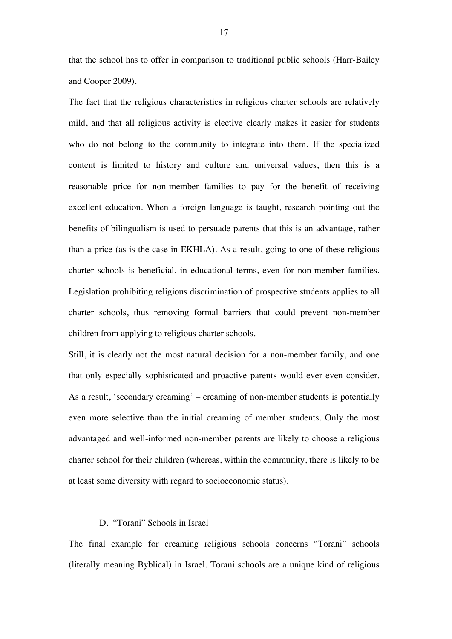that the school has to offer in comparison to traditional public schools (Harr-Bailey and Cooper 2009).

The fact that the religious characteristics in religious charter schools are relatively mild, and that all religious activity is elective clearly makes it easier for students who do not belong to the community to integrate into them. If the specialized content is limited to history and culture and universal values, then this is a reasonable price for non-member families to pay for the benefit of receiving excellent education. When a foreign language is taught, research pointing out the benefits of bilingualism is used to persuade parents that this is an advantage, rather than a price (as is the case in EKHLA). As a result, going to one of these religious charter schools is beneficial, in educational terms, even for non-member families. Legislation prohibiting religious discrimination of prospective students applies to all charter schools, thus removing formal barriers that could prevent non-member children from applying to religious charter schools.

Still, it is clearly not the most natural decision for a non-member family, and one that only especially sophisticated and proactive parents would ever even consider. As a result, 'secondary creaming' – creaming of non-member students is potentially even more selective than the initial creaming of member students. Only the most advantaged and well-informed non-member parents are likely to choose a religious charter school for their children (whereas, within the community, there is likely to be at least some diversity with regard to socioeconomic status).

# D. "Torani" Schools in Israel

The final example for creaming religious schools concerns "Torani" schools (literally meaning Byblical) in Israel. Torani schools are a unique kind of religious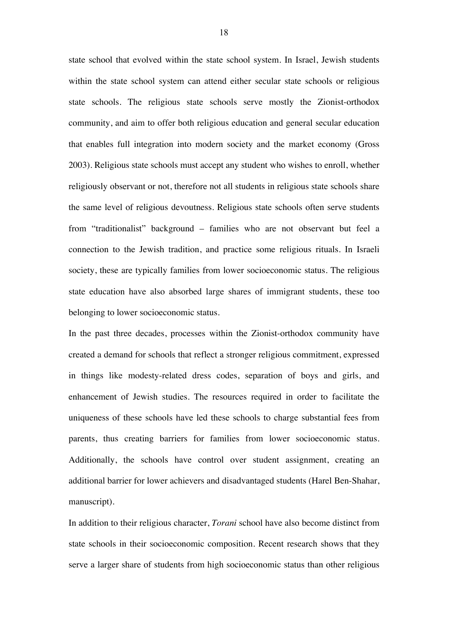state school that evolved within the state school system. In Israel, Jewish students within the state school system can attend either secular state schools or religious state schools. The religious state schools serve mostly the Zionist-orthodox community, and aim to offer both religious education and general secular education that enables full integration into modern society and the market economy (Gross 2003). Religious state schools must accept any student who wishes to enroll, whether religiously observant or not, therefore not all students in religious state schools share the same level of religious devoutness. Religious state schools often serve students from "traditionalist" background – families who are not observant but feel a connection to the Jewish tradition, and practice some religious rituals. In Israeli society, these are typically families from lower socioeconomic status. The religious state education have also absorbed large shares of immigrant students, these too belonging to lower socioeconomic status.

In the past three decades, processes within the Zionist-orthodox community have created a demand for schools that reflect a stronger religious commitment, expressed in things like modesty-related dress codes, separation of boys and girls, and enhancement of Jewish studies. The resources required in order to facilitate the uniqueness of these schools have led these schools to charge substantial fees from parents, thus creating barriers for families from lower socioeconomic status. Additionally, the schools have control over student assignment, creating an additional barrier for lower achievers and disadvantaged students (Harel Ben-Shahar, manuscript).

In addition to their religious character, *Torani* school have also become distinct from state schools in their socioeconomic composition. Recent research shows that they serve a larger share of students from high socioeconomic status than other religious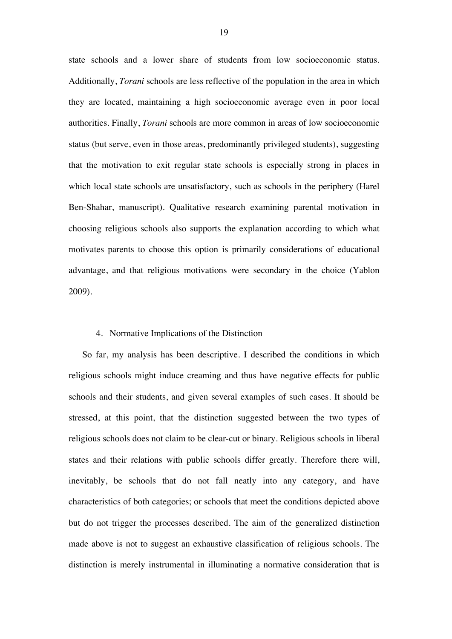state schools and a lower share of students from low socioeconomic status. Additionally, *Torani* schools are less reflective of the population in the area in which they are located, maintaining a high socioeconomic average even in poor local authorities. Finally, *Torani* schools are more common in areas of low socioeconomic status (but serve, even in those areas, predominantly privileged students), suggesting that the motivation to exit regular state schools is especially strong in places in which local state schools are unsatisfactory, such as schools in the periphery (Harel Ben-Shahar, manuscript). Qualitative research examining parental motivation in choosing religious schools also supports the explanation according to which what motivates parents to choose this option is primarily considerations of educational advantage, and that religious motivations were secondary in the choice (Yablon 2009).

## 4. Normative Implications of the Distinction

So far, my analysis has been descriptive. I described the conditions in which religious schools might induce creaming and thus have negative effects for public schools and their students, and given several examples of such cases. It should be stressed, at this point, that the distinction suggested between the two types of religious schools does not claim to be clear-cut or binary. Religious schools in liberal states and their relations with public schools differ greatly. Therefore there will, inevitably, be schools that do not fall neatly into any category, and have characteristics of both categories; or schools that meet the conditions depicted above but do not trigger the processes described. The aim of the generalized distinction made above is not to suggest an exhaustive classification of religious schools. The distinction is merely instrumental in illuminating a normative consideration that is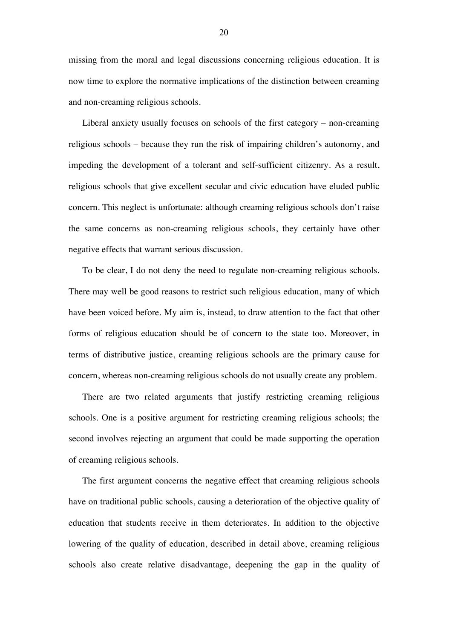missing from the moral and legal discussions concerning religious education. It is now time to explore the normative implications of the distinction between creaming and non-creaming religious schools.

Liberal anxiety usually focuses on schools of the first category – non-creaming religious schools – because they run the risk of impairing children's autonomy, and impeding the development of a tolerant and self-sufficient citizenry. As a result, religious schools that give excellent secular and civic education have eluded public concern. This neglect is unfortunate: although creaming religious schools don't raise the same concerns as non-creaming religious schools, they certainly have other negative effects that warrant serious discussion.

To be clear, I do not deny the need to regulate non-creaming religious schools. There may well be good reasons to restrict such religious education, many of which have been voiced before. My aim is, instead, to draw attention to the fact that other forms of religious education should be of concern to the state too. Moreover, in terms of distributive justice, creaming religious schools are the primary cause for concern, whereas non-creaming religious schools do not usually create any problem.

There are two related arguments that justify restricting creaming religious schools. One is a positive argument for restricting creaming religious schools; the second involves rejecting an argument that could be made supporting the operation of creaming religious schools.

The first argument concerns the negative effect that creaming religious schools have on traditional public schools, causing a deterioration of the objective quality of education that students receive in them deteriorates. In addition to the objective lowering of the quality of education, described in detail above, creaming religious schools also create relative disadvantage, deepening the gap in the quality of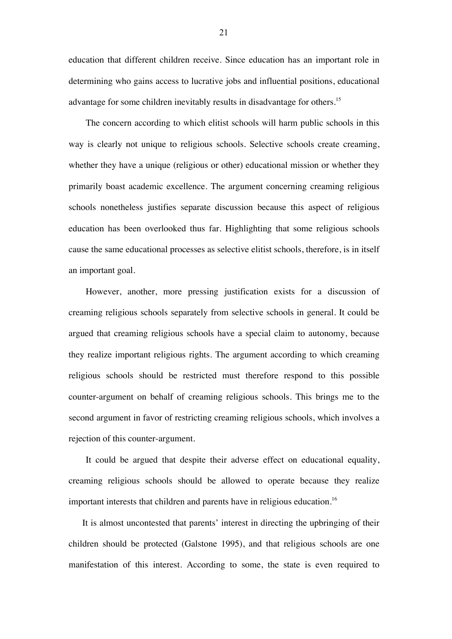education that different children receive. Since education has an important role in determining who gains access to lucrative jobs and influential positions, educational advantage for some children inevitably results in disadvantage for others.<sup>15</sup>

The concern according to which elitist schools will harm public schools in this way is clearly not unique to religious schools. Selective schools create creaming, whether they have a unique (religious or other) educational mission or whether they primarily boast academic excellence. The argument concerning creaming religious schools nonetheless justifies separate discussion because this aspect of religious education has been overlooked thus far. Highlighting that some religious schools cause the same educational processes as selective elitist schools, therefore, is in itself an important goal.

However, another, more pressing justification exists for a discussion of creaming religious schools separately from selective schools in general. It could be argued that creaming religious schools have a special claim to autonomy, because they realize important religious rights. The argument according to which creaming religious schools should be restricted must therefore respond to this possible counter-argument on behalf of creaming religious schools. This brings me to the second argument in favor of restricting creaming religious schools, which involves a rejection of this counter-argument.

It could be argued that despite their adverse effect on educational equality, creaming religious schools should be allowed to operate because they realize important interests that children and parents have in religious education.<sup>16</sup>

It is almost uncontested that parents' interest in directing the upbringing of their children should be protected (Galstone 1995), and that religious schools are one manifestation of this interest. According to some, the state is even required to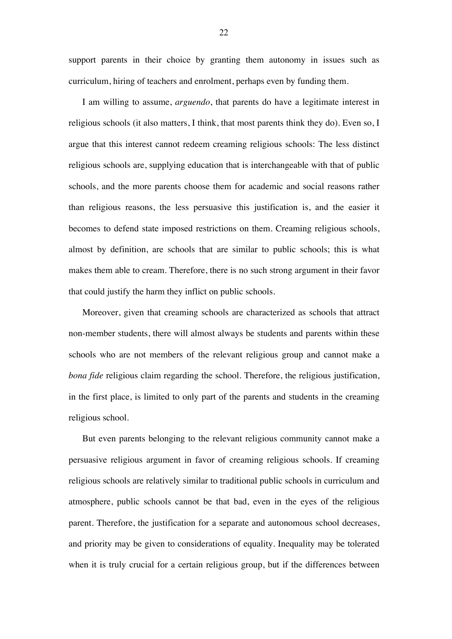support parents in their choice by granting them autonomy in issues such as curriculum, hiring of teachers and enrolment, perhaps even by funding them.

I am willing to assume, *arguendo*, that parents do have a legitimate interest in religious schools (it also matters, I think, that most parents think they do). Even so, I argue that this interest cannot redeem creaming religious schools: The less distinct religious schools are, supplying education that is interchangeable with that of public schools, and the more parents choose them for academic and social reasons rather than religious reasons, the less persuasive this justification is, and the easier it becomes to defend state imposed restrictions on them. Creaming religious schools, almost by definition, are schools that are similar to public schools; this is what makes them able to cream. Therefore, there is no such strong argument in their favor that could justify the harm they inflict on public schools.

Moreover, given that creaming schools are characterized as schools that attract non-member students, there will almost always be students and parents within these schools who are not members of the relevant religious group and cannot make a *bona fide* religious claim regarding the school. Therefore, the religious justification, in the first place, is limited to only part of the parents and students in the creaming religious school.

But even parents belonging to the relevant religious community cannot make a persuasive religious argument in favor of creaming religious schools. If creaming religious schools are relatively similar to traditional public schools in curriculum and atmosphere, public schools cannot be that bad, even in the eyes of the religious parent. Therefore, the justification for a separate and autonomous school decreases, and priority may be given to considerations of equality. Inequality may be tolerated when it is truly crucial for a certain religious group, but if the differences between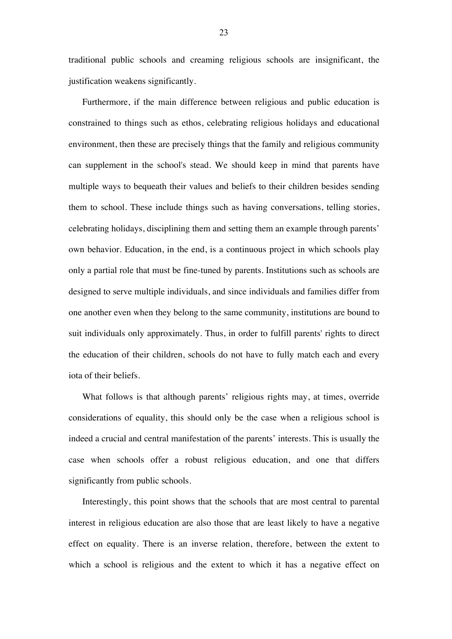traditional public schools and creaming religious schools are insignificant, the justification weakens significantly.

Furthermore, if the main difference between religious and public education is constrained to things such as ethos, celebrating religious holidays and educational environment, then these are precisely things that the family and religious community can supplement in the school's stead. We should keep in mind that parents have multiple ways to bequeath their values and beliefs to their children besides sending them to school. These include things such as having conversations, telling stories, celebrating holidays, disciplining them and setting them an example through parents' own behavior. Education, in the end, is a continuous project in which schools play only a partial role that must be fine-tuned by parents. Institutions such as schools are designed to serve multiple individuals, and since individuals and families differ from one another even when they belong to the same community, institutions are bound to suit individuals only approximately. Thus, in order to fulfill parents' rights to direct the education of their children, schools do not have to fully match each and every iota of their beliefs.

What follows is that although parents' religious rights may, at times, override considerations of equality, this should only be the case when a religious school is indeed a crucial and central manifestation of the parents' interests. This is usually the case when schools offer a robust religious education, and one that differs significantly from public schools.

Interestingly, this point shows that the schools that are most central to parental interest in religious education are also those that are least likely to have a negative effect on equality. There is an inverse relation, therefore, between the extent to which a school is religious and the extent to which it has a negative effect on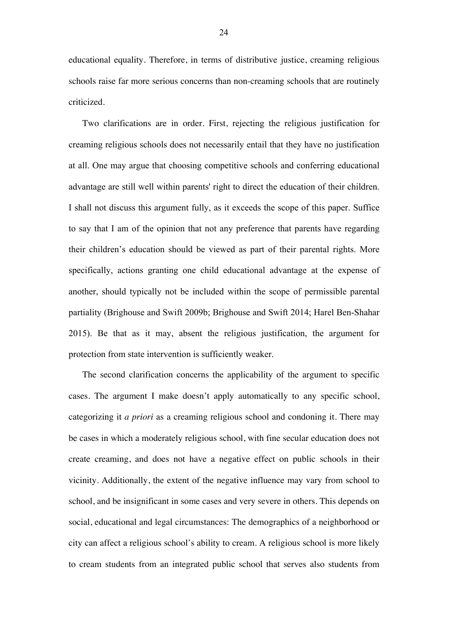educational equality. Therefore, in terms of distributive justice, creaming religious schools raise far more serious concerns than non-creaming schools that are routinely criticized.

Two clarifications are in order. First, rejecting the religious justification for creaming religious schools does not necessarily entail that they have no justification at all. One may argue that choosing competitive schools and conferring educational advantage are still well within parents' right to direct the education of their children. I shall not discuss this argument fully, as it exceeds the scope of this paper. Suffice to say that I am of the opinion that not any preference that parents have regarding their children's education should be viewed as part of their parental rights. More specifically, actions granting one child educational advantage at the expense of another, should typically not be included within the scope of permissible parental partiality (Brighouse and Swift 2009b; Brighouse and Swift 2014; Harel Ben-Shahar 2015). Be that as it may, absent the religious justification, the argument for protection from state intervention is sufficiently weaker.

The second clarification concerns the applicability of the argument to specific cases. The argument I make doesn't apply automatically to any specific school, categorizing it *a priori* as a creaming religious school and condoning it. There may be cases in which a moderately religious school, with fine secular education does not create creaming, and does not have a negative effect on public schools in their vicinity. Additionally, the extent of the negative influence may vary from school to school, and be insignificant in some cases and very severe in others. This depends on social, educational and legal circumstances: The demographics of a neighborhood or city can affect a religious school's ability to cream. A religious school is more likely to cream students from an integrated public school that serves also students from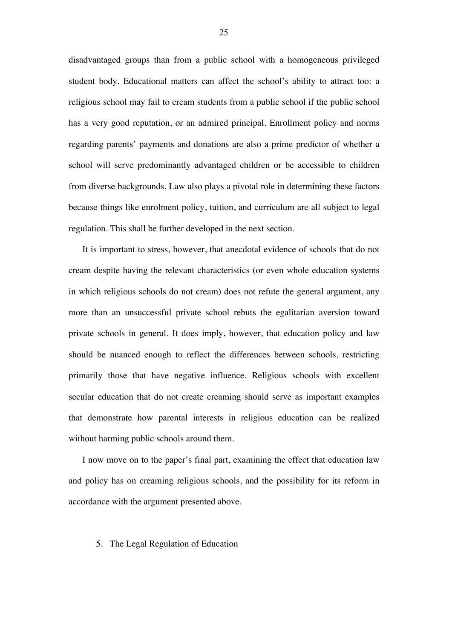disadvantaged groups than from a public school with a homogeneous privileged student body. Educational matters can affect the school's ability to attract too: a religious school may fail to cream students from a public school if the public school has a very good reputation, or an admired principal. Enrollment policy and norms regarding parents' payments and donations are also a prime predictor of whether a school will serve predominantly advantaged children or be accessible to children from diverse backgrounds. Law also plays a pivotal role in determining these factors because things like enrolment policy, tuition, and curriculum are all subject to legal regulation. This shall be further developed in the next section.

It is important to stress, however, that anecdotal evidence of schools that do not cream despite having the relevant characteristics (or even whole education systems in which religious schools do not cream) does not refute the general argument, any more than an unsuccessful private school rebuts the egalitarian aversion toward private schools in general. It does imply, however, that education policy and law should be nuanced enough to reflect the differences between schools, restricting primarily those that have negative influence. Religious schools with excellent secular education that do not create creaming should serve as important examples that demonstrate how parental interests in religious education can be realized without harming public schools around them.

I now move on to the paper's final part, examining the effect that education law and policy has on creaming religious schools, and the possibility for its reform in accordance with the argument presented above.

#### 5. The Legal Regulation of Education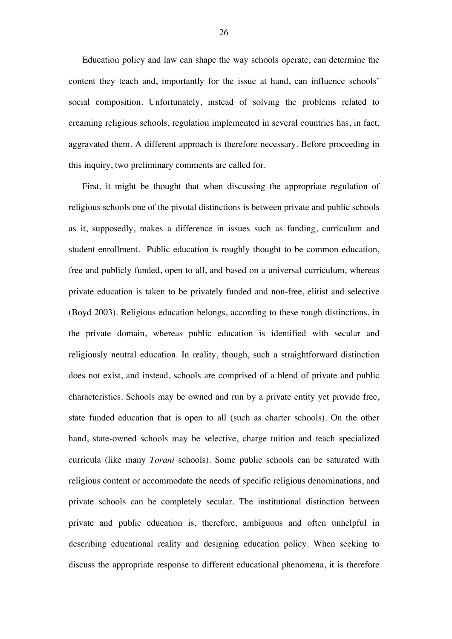Education policy and law can shape the way schools operate, can determine the content they teach and, importantly for the issue at hand, can influence schools' social composition. Unfortunately, instead of solving the problems related to creaming religious schools, regulation implemented in several countries has, in fact, aggravated them. A different approach is therefore necessary. Before proceeding in this inquiry, two preliminary comments are called for.

First, it might be thought that when discussing the appropriate regulation of religious schools one of the pivotal distinctions is between private and public schools as it, supposedly, makes a difference in issues such as funding, curriculum and student enrollment. Public education is roughly thought to be common education, free and publicly funded, open to all, and based on a universal curriculum, whereas private education is taken to be privately funded and non-free, elitist and selective (Boyd 2003). Religious education belongs, according to these rough distinctions, in the private domain, whereas public education is identified with secular and religiously neutral education. In reality, though, such a straightforward distinction does not exist, and instead, schools are comprised of a blend of private and public characteristics. Schools may be owned and run by a private entity yet provide free, state funded education that is open to all (such as charter schools). On the other hand, state-owned schools may be selective, charge tuition and teach specialized curricula (like many *Torani* schools). Some public schools can be saturated with religious content or accommodate the needs of specific religious denominations, and private schools can be completely secular. The institutional distinction between private and public education is, therefore, ambiguous and often unhelpful in describing educational reality and designing education policy. When seeking to discuss the appropriate response to different educational phenomena, it is therefore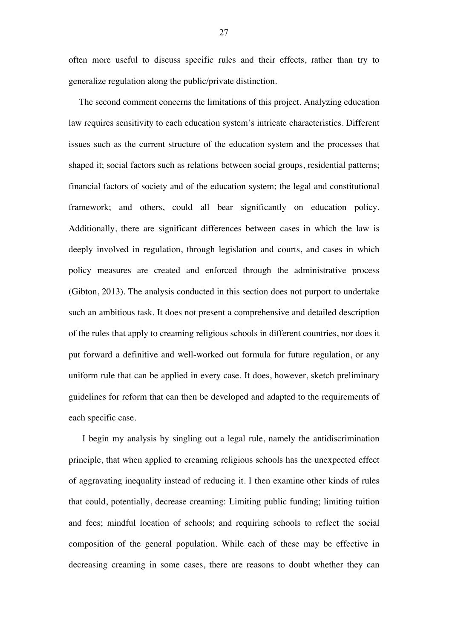often more useful to discuss specific rules and their effects, rather than try to generalize regulation along the public/private distinction.

The second comment concerns the limitations of this project. Analyzing education law requires sensitivity to each education system's intricate characteristics. Different issues such as the current structure of the education system and the processes that shaped it; social factors such as relations between social groups, residential patterns; financial factors of society and of the education system; the legal and constitutional framework; and others, could all bear significantly on education policy. Additionally, there are significant differences between cases in which the law is deeply involved in regulation, through legislation and courts, and cases in which policy measures are created and enforced through the administrative process (Gibton, 2013). The analysis conducted in this section does not purport to undertake such an ambitious task. It does not present a comprehensive and detailed description of the rules that apply to creaming religious schools in different countries, nor does it put forward a definitive and well-worked out formula for future regulation, or any uniform rule that can be applied in every case. It does, however, sketch preliminary guidelines for reform that can then be developed and adapted to the requirements of each specific case.

I begin my analysis by singling out a legal rule, namely the antidiscrimination principle, that when applied to creaming religious schools has the unexpected effect of aggravating inequality instead of reducing it. I then examine other kinds of rules that could, potentially, decrease creaming: Limiting public funding; limiting tuition and fees; mindful location of schools; and requiring schools to reflect the social composition of the general population. While each of these may be effective in decreasing creaming in some cases, there are reasons to doubt whether they can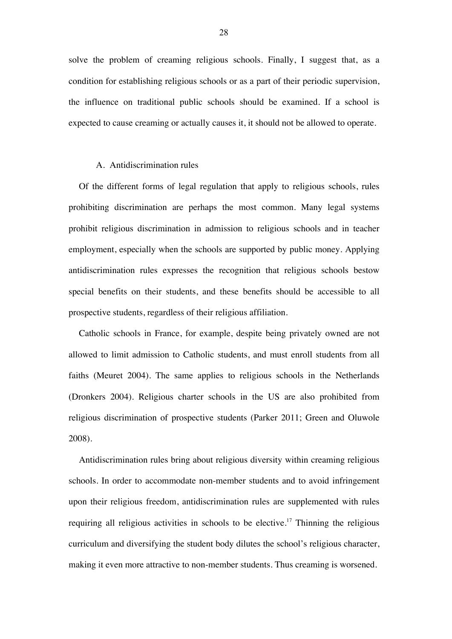solve the problem of creaming religious schools. Finally, I suggest that, as a condition for establishing religious schools or as a part of their periodic supervision, the influence on traditional public schools should be examined. If a school is expected to cause creaming or actually causes it, it should not be allowed to operate.

## A. Antidiscrimination rules

Of the different forms of legal regulation that apply to religious schools, rules prohibiting discrimination are perhaps the most common. Many legal systems prohibit religious discrimination in admission to religious schools and in teacher employment, especially when the schools are supported by public money. Applying antidiscrimination rules expresses the recognition that religious schools bestow special benefits on their students, and these benefits should be accessible to all prospective students, regardless of their religious affiliation.

Catholic schools in France, for example, despite being privately owned are not allowed to limit admission to Catholic students, and must enroll students from all faiths (Meuret 2004). The same applies to religious schools in the Netherlands (Dronkers 2004). Religious charter schools in the US are also prohibited from religious discrimination of prospective students (Parker 2011; Green and Oluwole 2008).

Antidiscrimination rules bring about religious diversity within creaming religious schools. In order to accommodate non-member students and to avoid infringement upon their religious freedom, antidiscrimination rules are supplemented with rules requiring all religious activities in schools to be elective.<sup>17</sup> Thinning the religious curriculum and diversifying the student body dilutes the school's religious character, making it even more attractive to non-member students. Thus creaming is worsened.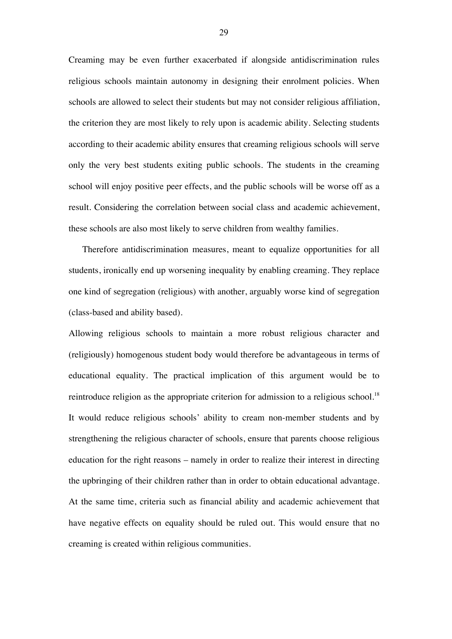Creaming may be even further exacerbated if alongside antidiscrimination rules religious schools maintain autonomy in designing their enrolment policies. When schools are allowed to select their students but may not consider religious affiliation, the criterion they are most likely to rely upon is academic ability. Selecting students according to their academic ability ensures that creaming religious schools will serve only the very best students exiting public schools. The students in the creaming school will enjoy positive peer effects, and the public schools will be worse off as a result. Considering the correlation between social class and academic achievement, these schools are also most likely to serve children from wealthy families.

Therefore antidiscrimination measures, meant to equalize opportunities for all students, ironically end up worsening inequality by enabling creaming. They replace one kind of segregation (religious) with another, arguably worse kind of segregation (class-based and ability based).

Allowing religious schools to maintain a more robust religious character and (religiously) homogenous student body would therefore be advantageous in terms of educational equality. The practical implication of this argument would be to reintroduce religion as the appropriate criterion for admission to a religious school.<sup>18</sup> It would reduce religious schools' ability to cream non-member students and by strengthening the religious character of schools, ensure that parents choose religious education for the right reasons – namely in order to realize their interest in directing the upbringing of their children rather than in order to obtain educational advantage. At the same time, criteria such as financial ability and academic achievement that have negative effects on equality should be ruled out. This would ensure that no creaming is created within religious communities.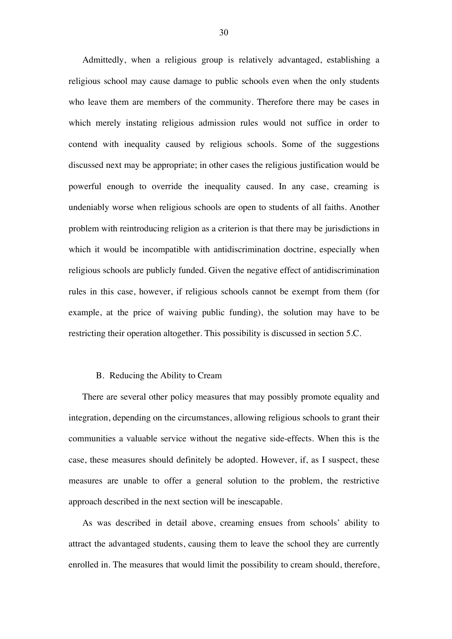Admittedly, when a religious group is relatively advantaged, establishing a religious school may cause damage to public schools even when the only students who leave them are members of the community. Therefore there may be cases in which merely instating religious admission rules would not suffice in order to contend with inequality caused by religious schools. Some of the suggestions discussed next may be appropriate; in other cases the religious justification would be powerful enough to override the inequality caused. In any case, creaming is undeniably worse when religious schools are open to students of all faiths. Another problem with reintroducing religion as a criterion is that there may be jurisdictions in which it would be incompatible with antidiscrimination doctrine, especially when religious schools are publicly funded. Given the negative effect of antidiscrimination rules in this case, however, if religious schools cannot be exempt from them (for example, at the price of waiving public funding), the solution may have to be restricting their operation altogether. This possibility is discussed in section 5.C.

## B. Reducing the Ability to Cream

There are several other policy measures that may possibly promote equality and integration, depending on the circumstances, allowing religious schools to grant their communities a valuable service without the negative side-effects. When this is the case, these measures should definitely be adopted. However, if, as I suspect, these measures are unable to offer a general solution to the problem, the restrictive approach described in the next section will be inescapable.

As was described in detail above, creaming ensues from schools' ability to attract the advantaged students, causing them to leave the school they are currently enrolled in. The measures that would limit the possibility to cream should, therefore,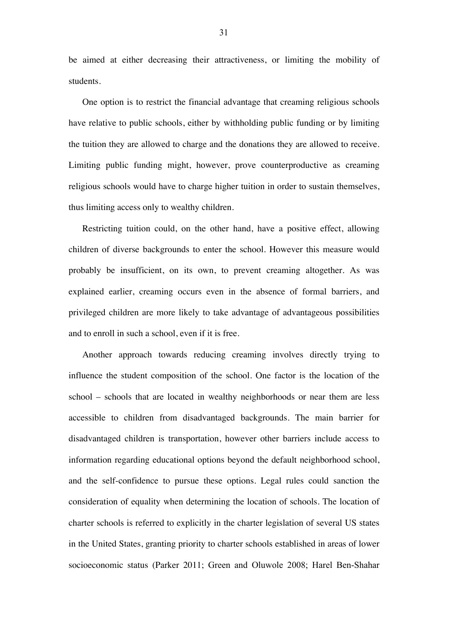be aimed at either decreasing their attractiveness, or limiting the mobility of students.

One option is to restrict the financial advantage that creaming religious schools have relative to public schools, either by withholding public funding or by limiting the tuition they are allowed to charge and the donations they are allowed to receive. Limiting public funding might, however, prove counterproductive as creaming religious schools would have to charge higher tuition in order to sustain themselves, thus limiting access only to wealthy children.

Restricting tuition could, on the other hand, have a positive effect, allowing children of diverse backgrounds to enter the school. However this measure would probably be insufficient, on its own, to prevent creaming altogether. As was explained earlier, creaming occurs even in the absence of formal barriers, and privileged children are more likely to take advantage of advantageous possibilities and to enroll in such a school, even if it is free.

Another approach towards reducing creaming involves directly trying to influence the student composition of the school. One factor is the location of the school – schools that are located in wealthy neighborhoods or near them are less accessible to children from disadvantaged backgrounds. The main barrier for disadvantaged children is transportation, however other barriers include access to information regarding educational options beyond the default neighborhood school, and the self-confidence to pursue these options. Legal rules could sanction the consideration of equality when determining the location of schools. The location of charter schools is referred to explicitly in the charter legislation of several US states in the United States, granting priority to charter schools established in areas of lower socioeconomic status (Parker 2011; Green and Oluwole 2008; Harel Ben-Shahar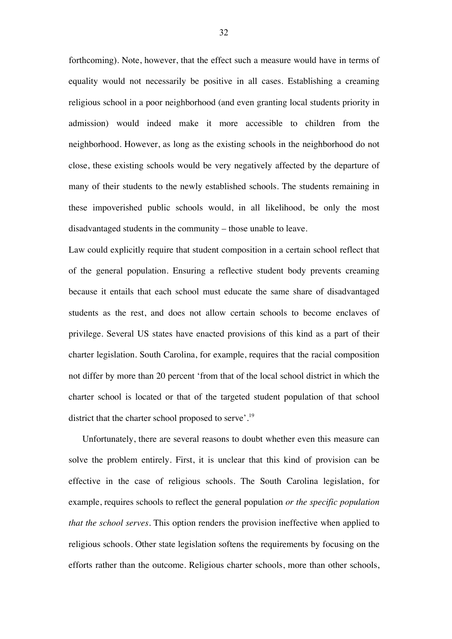forthcoming). Note, however, that the effect such a measure would have in terms of equality would not necessarily be positive in all cases. Establishing a creaming religious school in a poor neighborhood (and even granting local students priority in admission) would indeed make it more accessible to children from the neighborhood. However, as long as the existing schools in the neighborhood do not close, these existing schools would be very negatively affected by the departure of many of their students to the newly established schools. The students remaining in these impoverished public schools would, in all likelihood, be only the most disadvantaged students in the community – those unable to leave.

Law could explicitly require that student composition in a certain school reflect that of the general population. Ensuring a reflective student body prevents creaming because it entails that each school must educate the same share of disadvantaged students as the rest, and does not allow certain schools to become enclaves of privilege. Several US states have enacted provisions of this kind as a part of their charter legislation. South Carolina, for example, requires that the racial composition not differ by more than 20 percent 'from that of the local school district in which the charter school is located or that of the targeted student population of that school district that the charter school proposed to serve'.<sup>19</sup>

Unfortunately, there are several reasons to doubt whether even this measure can solve the problem entirely. First, it is unclear that this kind of provision can be effective in the case of religious schools. The South Carolina legislation, for example, requires schools to reflect the general population *or the specific population that the school serves*. This option renders the provision ineffective when applied to religious schools. Other state legislation softens the requirements by focusing on the efforts rather than the outcome. Religious charter schools, more than other schools,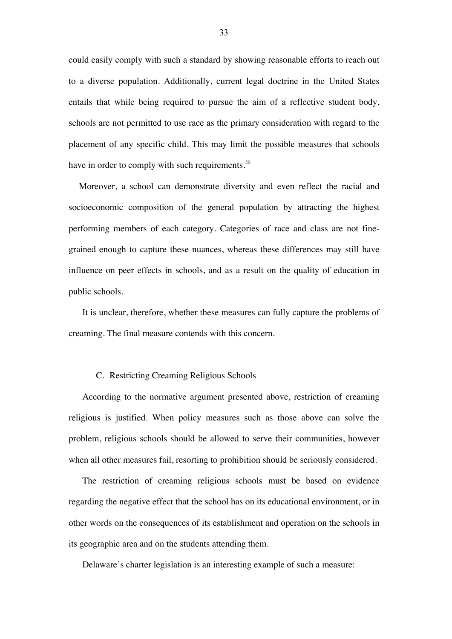could easily comply with such a standard by showing reasonable efforts to reach out to a diverse population. Additionally, current legal doctrine in the United States entails that while being required to pursue the aim of a reflective student body, schools are not permitted to use race as the primary consideration with regard to the placement of any specific child. This may limit the possible measures that schools have in order to comply with such requirements.<sup>20</sup>

Moreover, a school can demonstrate diversity and even reflect the racial and socioeconomic composition of the general population by attracting the highest performing members of each category. Categories of race and class are not finegrained enough to capture these nuances, whereas these differences may still have influence on peer effects in schools, and as a result on the quality of education in public schools.

It is unclear, therefore, whether these measures can fully capture the problems of creaming. The final measure contends with this concern.

# C. Restricting Creaming Religious Schools

According to the normative argument presented above, restriction of creaming religious is justified. When policy measures such as those above can solve the problem, religious schools should be allowed to serve their communities, however when all other measures fail, resorting to prohibition should be seriously considered.

The restriction of creaming religious schools must be based on evidence regarding the negative effect that the school has on its educational environment, or in other words on the consequences of its establishment and operation on the schools in its geographic area and on the students attending them.

Delaware's charter legislation is an interesting example of such a measure: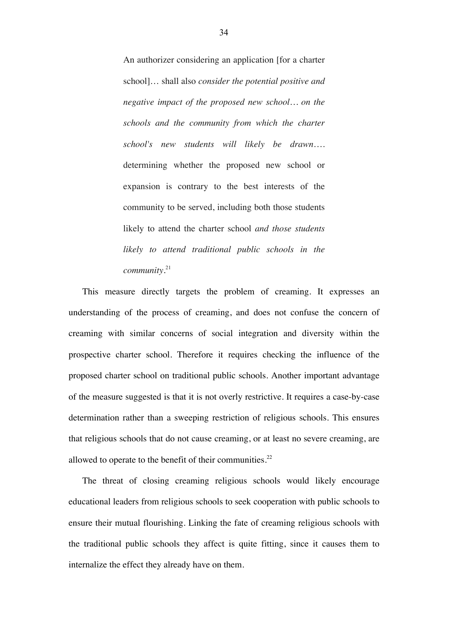An authorizer considering an application [for a charter school]… shall also *consider the potential positive and negative impact of the proposed new school… on the schools and the community from which the charter school's new students will likely be drawn*…. determining whether the proposed new school or expansion is contrary to the best interests of the community to be served, including both those students likely to attend the charter school *and those students likely to attend traditional public schools in the community*. 21

This measure directly targets the problem of creaming. It expresses an understanding of the process of creaming, and does not confuse the concern of creaming with similar concerns of social integration and diversity within the prospective charter school. Therefore it requires checking the influence of the proposed charter school on traditional public schools. Another important advantage of the measure suggested is that it is not overly restrictive. It requires a case-by-case determination rather than a sweeping restriction of religious schools. This ensures that religious schools that do not cause creaming, or at least no severe creaming, are allowed to operate to the benefit of their communities.<sup>22</sup>

The threat of closing creaming religious schools would likely encourage educational leaders from religious schools to seek cooperation with public schools to ensure their mutual flourishing. Linking the fate of creaming religious schools with the traditional public schools they affect is quite fitting, since it causes them to internalize the effect they already have on them.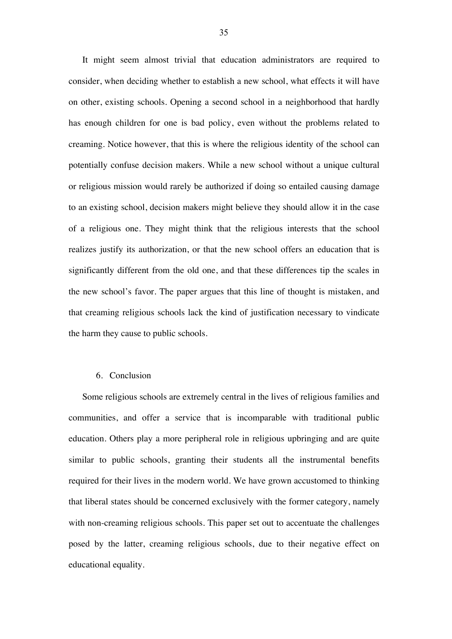It might seem almost trivial that education administrators are required to consider, when deciding whether to establish a new school, what effects it will have on other, existing schools. Opening a second school in a neighborhood that hardly has enough children for one is bad policy, even without the problems related to creaming. Notice however, that this is where the religious identity of the school can potentially confuse decision makers. While a new school without a unique cultural or religious mission would rarely be authorized if doing so entailed causing damage to an existing school, decision makers might believe they should allow it in the case of a religious one. They might think that the religious interests that the school realizes justify its authorization, or that the new school offers an education that is significantly different from the old one, and that these differences tip the scales in the new school's favor. The paper argues that this line of thought is mistaken, and that creaming religious schools lack the kind of justification necessary to vindicate the harm they cause to public schools.

## 6. Conclusion

Some religious schools are extremely central in the lives of religious families and communities, and offer a service that is incomparable with traditional public education. Others play a more peripheral role in religious upbringing and are quite similar to public schools, granting their students all the instrumental benefits required for their lives in the modern world. We have grown accustomed to thinking that liberal states should be concerned exclusively with the former category, namely with non-creaming religious schools. This paper set out to accentuate the challenges posed by the latter, creaming religious schools, due to their negative effect on educational equality.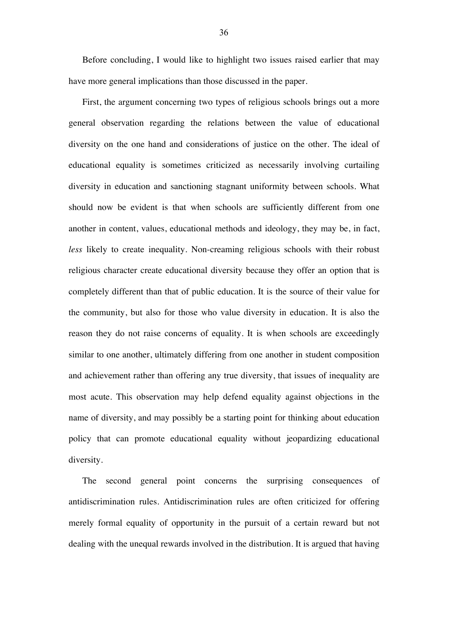Before concluding, I would like to highlight two issues raised earlier that may have more general implications than those discussed in the paper.

First, the argument concerning two types of religious schools brings out a more general observation regarding the relations between the value of educational diversity on the one hand and considerations of justice on the other. The ideal of educational equality is sometimes criticized as necessarily involving curtailing diversity in education and sanctioning stagnant uniformity between schools. What should now be evident is that when schools are sufficiently different from one another in content, values, educational methods and ideology, they may be, in fact, *less* likely to create inequality. Non-creaming religious schools with their robust religious character create educational diversity because they offer an option that is completely different than that of public education. It is the source of their value for the community, but also for those who value diversity in education. It is also the reason they do not raise concerns of equality. It is when schools are exceedingly similar to one another, ultimately differing from one another in student composition and achievement rather than offering any true diversity, that issues of inequality are most acute. This observation may help defend equality against objections in the name of diversity, and may possibly be a starting point for thinking about education policy that can promote educational equality without jeopardizing educational diversity.

The second general point concerns the surprising consequences of antidiscrimination rules. Antidiscrimination rules are often criticized for offering merely formal equality of opportunity in the pursuit of a certain reward but not dealing with the unequal rewards involved in the distribution. It is argued that having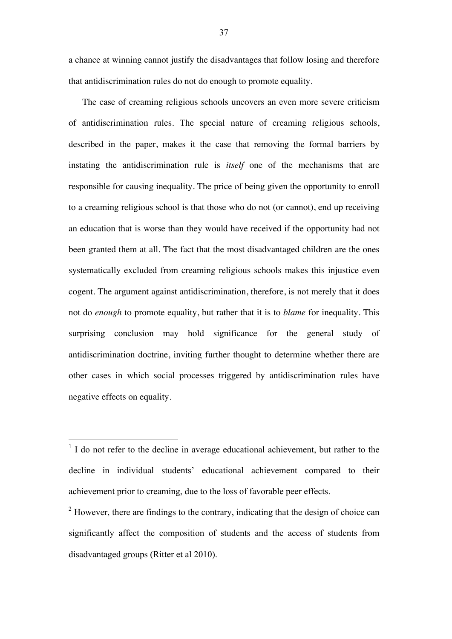a chance at winning cannot justify the disadvantages that follow losing and therefore that antidiscrimination rules do not do enough to promote equality.

The case of creaming religious schools uncovers an even more severe criticism of antidiscrimination rules. The special nature of creaming religious schools, described in the paper, makes it the case that removing the formal barriers by instating the antidiscrimination rule is *itself* one of the mechanisms that are responsible for causing inequality. The price of being given the opportunity to enroll to a creaming religious school is that those who do not (or cannot), end up receiving an education that is worse than they would have received if the opportunity had not been granted them at all. The fact that the most disadvantaged children are the ones systematically excluded from creaming religious schools makes this injustice even cogent. The argument against antidiscrimination, therefore, is not merely that it does not do *enough* to promote equality, but rather that it is to *blame* for inequality. This surprising conclusion may hold significance for the general study of antidiscrimination doctrine, inviting further thought to determine whether there are other cases in which social processes triggered by antidiscrimination rules have negative effects on equality.

<sup>1</sup> I do not refer to the decline in average educational achievement, but rather to the decline in individual students' educational achievement compared to their achievement prior to creaming, due to the loss of favorable peer effects.

<sup>2</sup> However, there are findings to the contrary, indicating that the design of choice can significantly affect the composition of students and the access of students from disadvantaged groups (Ritter et al 2010).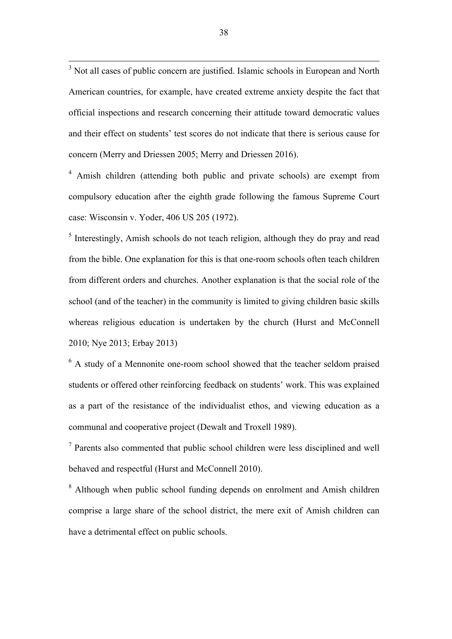<sup>3</sup> Not all cases of public concern are justified. Islamic schools in European and North American countries, for example, have created extreme anxiety despite the fact that official inspections and research concerning their attitude toward democratic values and their effect on students' test scores do not indicate that there is serious cause for concern (Merry and Driessen 2005; Merry and Driessen 2016).

<sup>4</sup> Amish children (attending both public and private schools) are exempt from compulsory education after the eighth grade following the famous Supreme Court case: Wisconsin v. Yoder, 406 US 205 (1972).

<sup>5</sup> Interestingly, Amish schools do not teach religion, although they do pray and read from the bible. One explanation for this is that one-room schools often teach children from different orders and churches. Another explanation is that the social role of the school (and of the teacher) in the community is limited to giving children basic skills whereas religious education is undertaken by the church (Hurst and McConnell 2010; Nye 2013; Erbay 2013)

<sup>6</sup> A study of a Mennonite one-room school showed that the teacher seldom praised students or offered other reinforcing feedback on students' work. This was explained as a part of the resistance of the individualist ethos, and viewing education as a communal and cooperative project (Dewalt and Troxell 1989).

<sup>7</sup> Parents also commented that public school children were less disciplined and well behaved and respectful (Hurst and McConnell 2010).

<sup>8</sup> Although when public school funding depends on enrolment and Amish children comprise a large share of the school district, the mere exit of Amish children can have a detrimental effect on public schools.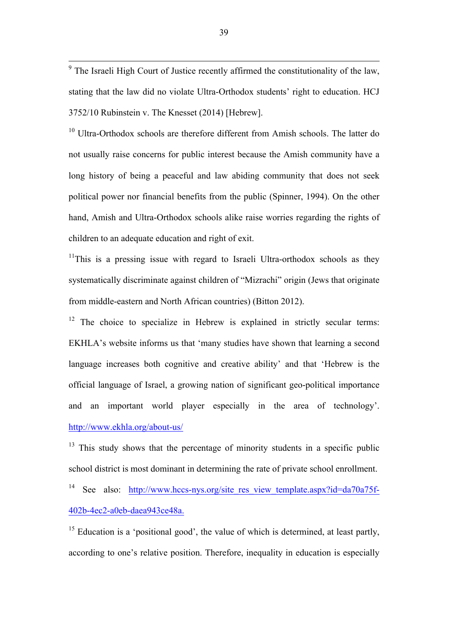<sup>9</sup> The Israeli High Court of Justice recently affirmed the constitutionality of the law, stating that the law did no violate Ultra-Orthodox students' right to education. HCJ 3752/10 Rubinstein v. The Knesset (2014) [Hebrew].

 $10$  Ultra-Orthodox schools are therefore different from Amish schools. The latter do not usually raise concerns for public interest because the Amish community have a long history of being a peaceful and law abiding community that does not seek political power nor financial benefits from the public (Spinner, 1994). On the other hand, Amish and Ultra-Orthodox schools alike raise worries regarding the rights of children to an adequate education and right of exit.

 $11$ This is a pressing issue with regard to Israeli Ultra-orthodox schools as they systematically discriminate against children of "Mizrachi" origin (Jews that originate from middle-eastern and North African countries) (Bitton 2012).

 $12$  The choice to specialize in Hebrew is explained in strictly secular terms: EKHLA's website informs us that 'many studies have shown that learning a second language increases both cognitive and creative ability' and that 'Hebrew is the official language of Israel, a growing nation of significant geo-political importance and an important world player especially in the area of technology'. http://www.ekhla.org/about-us/

 $13$  This study shows that the percentage of minority students in a specific public school district is most dominant in determining the rate of private school enrollment.

<sup>14</sup> See also: http://www.hccs-nys.org/site\_res\_view\_template.aspx?id=da70a75f-402b-4ec2-a0eb-daea943ce48a.

<sup>15</sup> Education is a 'positional good', the value of which is determined, at least partly, according to one's relative position. Therefore, inequality in education is especially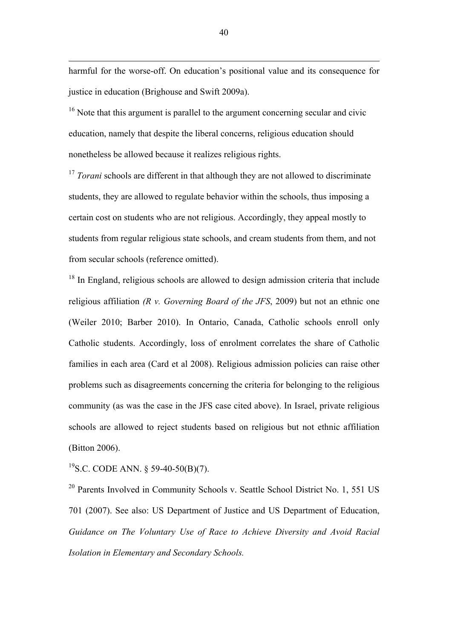harmful for the worse-off. On education's positional value and its consequence for justice in education (Brighouse and Swift 2009a).

 $16$  Note that this argument is parallel to the argument concerning secular and civic education, namely that despite the liberal concerns, religious education should nonetheless be allowed because it realizes religious rights.

<sup>17</sup> *Torani* schools are different in that although they are not allowed to discriminate students, they are allowed to regulate behavior within the schools, thus imposing a certain cost on students who are not religious. Accordingly, they appeal mostly to students from regular religious state schools, and cream students from them, and not from secular schools (reference omitted).

<sup>18</sup> In England, religious schools are allowed to design admission criteria that include religious affiliation *(R v. Governing Board of the JFS*, 2009) but not an ethnic one (Weiler 2010; Barber 2010). In Ontario, Canada, Catholic schools enroll only Catholic students. Accordingly, loss of enrolment correlates the share of Catholic families in each area (Card et al 2008). Religious admission policies can raise other problems such as disagreements concerning the criteria for belonging to the religious community (as was the case in the JFS case cited above). In Israel, private religious schools are allowed to reject students based on religious but not ethnic affiliation (Bitton 2006).

<sup>19</sup>S.C. CODE ANN. § 59-40-50(B)(7).

 $\overline{a}$ 

 $20$  Parents Involved in Community Schools v. Seattle School District No. 1, 551 US 701 (2007). See also: US Department of Justice and US Department of Education, *Guidance on The Voluntary Use of Race to Achieve Diversity and Avoid Racial Isolation in Elementary and Secondary Schools.*

40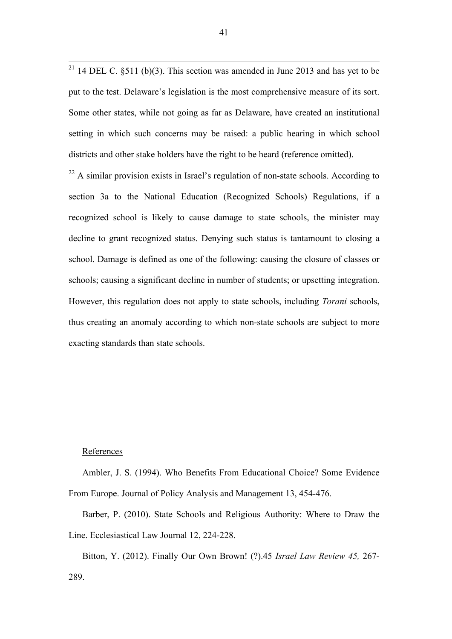<sup>21</sup> 14 DEL C.  $\S511$  (b)(3). This section was amended in June 2013 and has yet to be put to the test. Delaware's legislation is the most comprehensive measure of its sort. Some other states, while not going as far as Delaware, have created an institutional setting in which such concerns may be raised: a public hearing in which school districts and other stake holders have the right to be heard (reference omitted).

 $^{22}$  A similar provision exists in Israel's regulation of non-state schools. According to section 3a to the National Education (Recognized Schools) Regulations, if a recognized school is likely to cause damage to state schools, the minister may decline to grant recognized status. Denying such status is tantamount to closing a school. Damage is defined as one of the following: causing the closure of classes or schools; causing a significant decline in number of students; or upsetting integration. However, this regulation does not apply to state schools, including *Torani* schools, thus creating an anomaly according to which non-state schools are subject to more exacting standards than state schools.

# References

Ambler, J. S. (1994). Who Benefits From Educational Choice? Some Evidence From Europe. Journal of Policy Analysis and Management 13, 454-476.

Barber, P. (2010). State Schools and Religious Authority: Where to Draw the Line. Ecclesiastical Law Journal 12, 224-228.

Bitton, Y. (2012). Finally Our Own Brown! (?).45 *Israel Law Review 45,* 267- 289.

41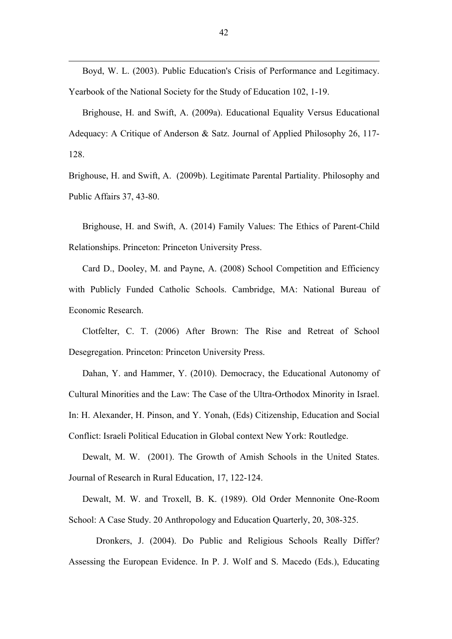Boyd, W. L. (2003). Public Education's Crisis of Performance and Legitimacy. Yearbook of the National Society for the Study of Education 102, 1-19.

 $\overline{a}$ 

Brighouse, H. and Swift, A. (2009a). Educational Equality Versus Educational Adequacy: A Critique of Anderson & Satz. Journal of Applied Philosophy 26, 117- 128.

Brighouse, H. and Swift, A. (2009b). Legitimate Parental Partiality. Philosophy and Public Affairs 37, 43-80.

Brighouse, H. and Swift, A. (2014) Family Values: The Ethics of Parent-Child Relationships. Princeton: Princeton University Press.

Card D., Dooley, M. and Payne, A. (2008) School Competition and Efficiency with Publicly Funded Catholic Schools. Cambridge, MA: National Bureau of Economic Research.

Clotfelter, C. T. (2006) After Brown: The Rise and Retreat of School Desegregation. Princeton: Princeton University Press.

Dahan, Y. and Hammer, Y. (2010). Democracy, the Educational Autonomy of Cultural Minorities and the Law: The Case of the Ultra-Orthodox Minority in Israel. In: H. Alexander, H. Pinson, and Y. Yonah, (Eds) Citizenship, Education and Social Conflict: Israeli Political Education in Global context New York: Routledge.

Dewalt, M. W. (2001). The Growth of Amish Schools in the United States. Journal of Research in Rural Education, 17, 122-124.

Dewalt, M. W. and Troxell, B. K. (1989). Old Order Mennonite One-Room School: A Case Study. 20 Anthropology and Education Quarterly, 20, 308-325.

Dronkers, J. (2004). Do Public and Religious Schools Really Differ? Assessing the European Evidence. In P. J. Wolf and S. Macedo (Eds.), Educating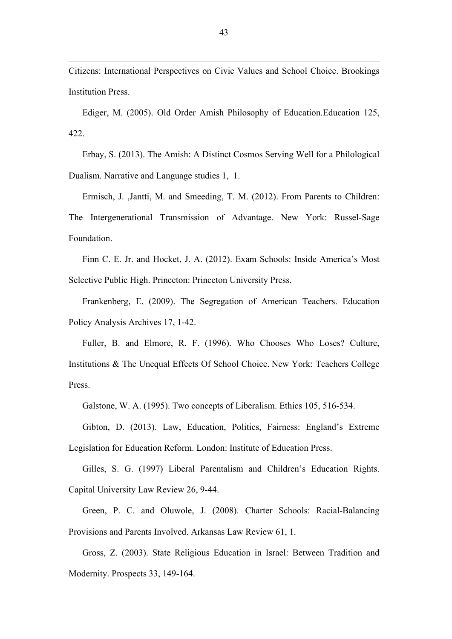Citizens: International Perspectives on Civic Values and School Choice. Brookings Institution Press.

 $\overline{a}$ 

Ediger, M. (2005). Old Order Amish Philosophy of Education.Education 125, 422.

Erbay, S. (2013). The Amish: A Distinct Cosmos Serving Well for a Philological Dualism. Narrative and Language studies 1, 1.

Ermisch, J. ,Jantti, M. and Smeeding, T. M. (2012). From Parents to Children: The Intergenerational Transmission of Advantage. New York: Russel-Sage Foundation.

Finn C. E. Jr. and Hocket, J. A. (2012). Exam Schools: Inside America's Most Selective Public High. Princeton: Princeton University Press.

Frankenberg, E. (2009). The Segregation of American Teachers. Education Policy Analysis Archives 17, 1-42.

Fuller, B. and Elmore, R. F. (1996). Who Chooses Who Loses? Culture, Institutions & The Unequal Effects Of School Choice. New York: Teachers College Press.

Galstone, W. A. (1995). Two concepts of Liberalism. Ethics 105, 516-534.

Gibton, D. (2013). Law, Education, Politics, Fairness: England's Extreme Legislation for Education Reform. London: Institute of Education Press.

Gilles, S. G. (1997) Liberal Parentalism and Children's Education Rights. Capital University Law Review 26, 9-44.

Green, P. C. and Oluwole, J. (2008). Charter Schools: Racial-Balancing Provisions and Parents Involved. Arkansas Law Review 61, 1.

Gross, Z. (2003). State Religious Education in Israel: Between Tradition and Modernity. Prospects 33, 149-164.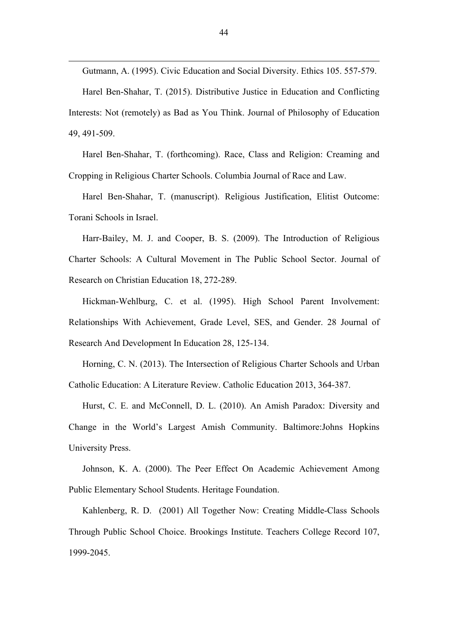Gutmann, A. (1995). Civic Education and Social Diversity. Ethics 105. 557-579. Harel Ben-Shahar, T. (2015). Distributive Justice in Education and Conflicting Interests: Not (remotely) as Bad as You Think. Journal of Philosophy of Education

49, 491-509.

 $\overline{a}$ 

Harel Ben-Shahar, T. (forthcoming). Race, Class and Religion: Creaming and Cropping in Religious Charter Schools. Columbia Journal of Race and Law.

Harel Ben-Shahar, T. (manuscript). Religious Justification, Elitist Outcome: Torani Schools in Israel.

Harr-Bailey, M. J. and Cooper, B. S. (2009). The Introduction of Religious Charter Schools: A Cultural Movement in The Public School Sector. Journal of Research on Christian Education 18, 272-289.

Hickman-Wehlburg, C. et al. (1995). High School Parent Involvement: Relationships With Achievement, Grade Level, SES, and Gender. 28 Journal of Research And Development In Education 28, 125-134.

Horning, C. N. (2013). The Intersection of Religious Charter Schools and Urban Catholic Education: A Literature Review. Catholic Education 2013, 364-387.

Hurst, C. E. and McConnell, D. L. (2010). An Amish Paradox: Diversity and Change in the World's Largest Amish Community. Baltimore:Johns Hopkins University Press.

Johnson, K. A. (2000). The Peer Effect On Academic Achievement Among Public Elementary School Students. Heritage Foundation.

Kahlenberg, R. D. (2001) All Together Now: Creating Middle-Class Schools Through Public School Choice. Brookings Institute. Teachers College Record 107, 1999-2045.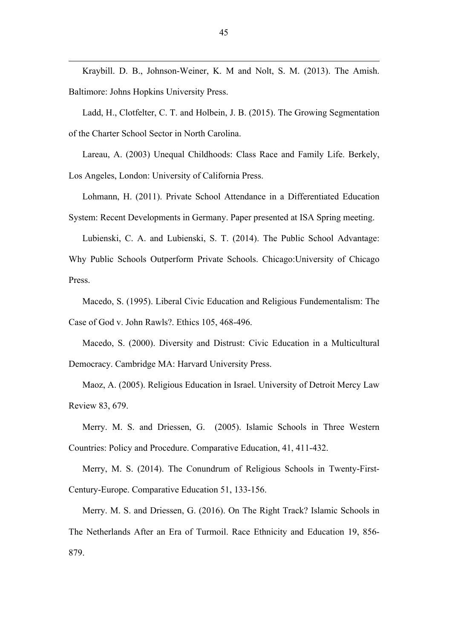Kraybill. D. B., Johnson-Weiner, K. M and Nolt, S. M. (2013). The Amish. Baltimore: Johns Hopkins University Press.

 $\overline{a}$ 

Ladd, H., Clotfelter, C. T. and Holbein, J. B. (2015). The Growing Segmentation of the Charter School Sector in North Carolina.

Lareau, A. (2003) Unequal Childhoods: Class Race and Family Life. Berkely, Los Angeles, London: University of California Press.

Lohmann, H. (2011). Private School Attendance in a Differentiated Education System: Recent Developments in Germany. Paper presented at ISA Spring meeting.

Lubienski, C. A. and Lubienski, S. T. (2014). The Public School Advantage: Why Public Schools Outperform Private Schools. Chicago:University of Chicago Press.

Macedo, S. (1995). Liberal Civic Education and Religious Fundementalism: The Case of God v. John Rawls?. Ethics 105, 468-496.

Macedo, S. (2000). Diversity and Distrust: Civic Education in a Multicultural Democracy. Cambridge MA: Harvard University Press.

Maoz, A. (2005). Religious Education in Israel. University of Detroit Mercy Law Review 83, 679.

Merry. M. S. and Driessen, G. (2005). Islamic Schools in Three Western Countries: Policy and Procedure. Comparative Education, 41, 411-432.

Merry, M. S. (2014). The Conundrum of Religious Schools in Twenty-First-Century-Europe. Comparative Education 51, 133-156.

Merry. M. S. and Driessen, G. (2016). On The Right Track? Islamic Schools in The Netherlands After an Era of Turmoil. Race Ethnicity and Education 19, 856- 879.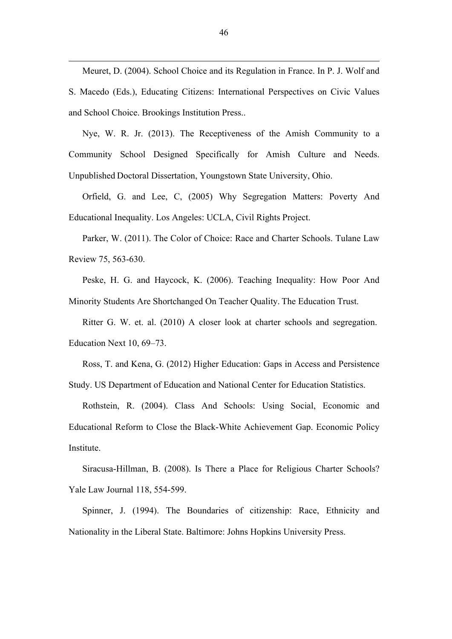Meuret, D. (2004). School Choice and its Regulation in France. In P. J. Wolf and S. Macedo (Eds.), Educating Citizens: International Perspectives on Civic Values and School Choice. Brookings Institution Press..

Nye, W. R. Jr. (2013). The Receptiveness of the Amish Community to a Community School Designed Specifically for Amish Culture and Needs. Unpublished Doctoral Dissertation, Youngstown State University, Ohio.

Orfield, G. and Lee, C, (2005) Why Segregation Matters: Poverty And Educational Inequality. Los Angeles: UCLA, Civil Rights Project.

Parker, W. (2011). The Color of Choice: Race and Charter Schools. Tulane Law Review 75, 563-630.

Peske, H. G. and Haycock, K. (2006). Teaching Inequality: How Poor And Minority Students Are Shortchanged On Teacher Quality. The Education Trust.

Ritter G. W. et. al. (2010) A closer look at charter schools and segregation. Education Next 10, 69–73.

Ross, T. and Kena, G. (2012) Higher Education: Gaps in Access and Persistence Study. US Department of Education and National Center for Education Statistics.

Rothstein, R. (2004). Class And Schools: Using Social, Economic and Educational Reform to Close the Black-White Achievement Gap. Economic Policy Institute.

Siracusa-Hillman, B. (2008). Is There a Place for Religious Charter Schools? Yale Law Journal 118, 554-599.

Spinner, J. (1994). The Boundaries of citizenship: Race, Ethnicity and Nationality in the Liberal State. Baltimore: Johns Hopkins University Press.

 $\overline{a}$